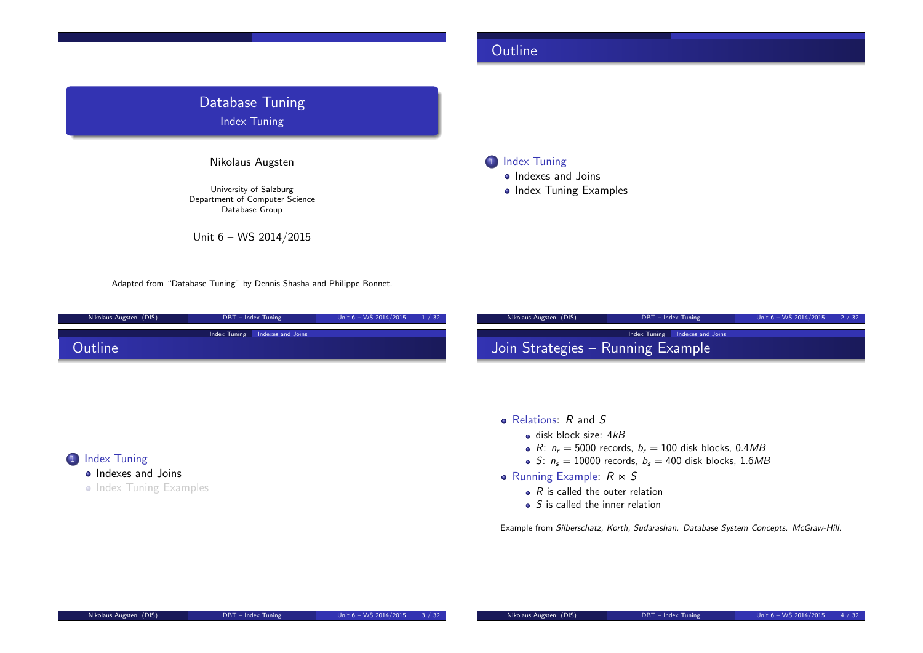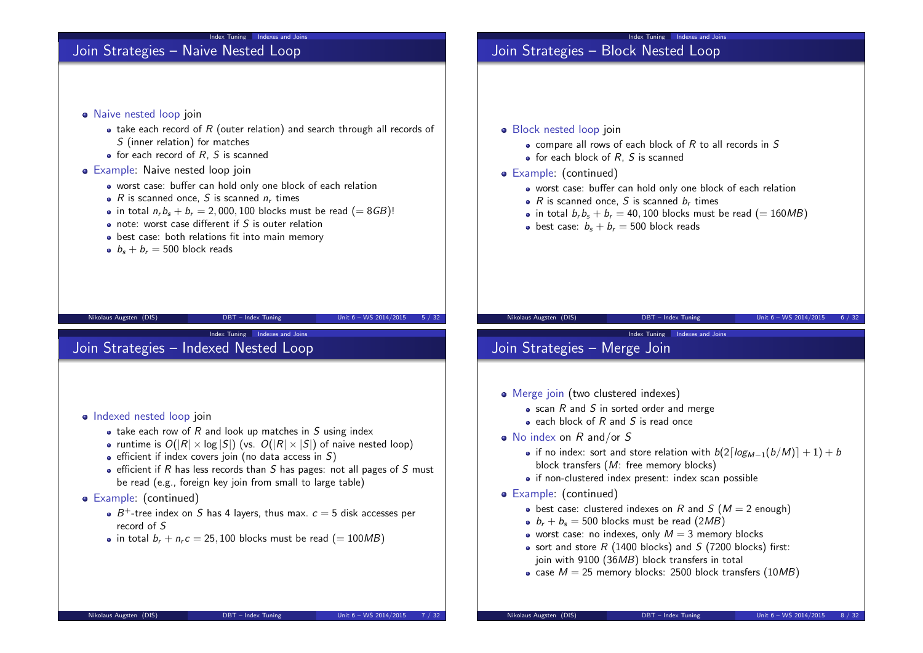## Join Strategies - Naive Nested Loop

- Naive nested loop join
	- $\bullet$  take each record of R (outer relation) and search through all records of S (inner relation) for matches

Index Tuning Indexes and Joins

- $\bullet$  for each record of R, S is scanned
- Example: Naive nested loop join
	- worst case: buffer can hold only one block of each relation
	- $R$  is scanned once, S is scanned  $n_r$  times
	- in total  $n_r b_s + b_r = 2,000,100$  blocks must be read  $(= 8GB)!$
	- o note: worst case different if S is outer relation
	- best case: both relations fit into main memory
	- $b<sub>s</sub> + b<sub>r</sub> = 500$  block reads

### Nikolaus Augsten (DIS) DBT – Index Tuning Unit 6 – WS 2014/2015 5 / 32

Index Tuning Indexes and Joins

## Join Strategies – Indexed Nested Loop

- Indexed nested loop join
	- take each row of  $R$  and look up matches in  $S$  using index
	- runtime is  $O(|R| \times \log |S|)$  (vs.  $O(|R| \times |S|)$  of naive nested loop)
	- $\bullet$  efficient if index covers join (no data access in S)
	- $\bullet$  efficient if R has less records than S has pages: not all pages of S must be read (e.g., foreign key join from small to large table)

### • Example: (continued)

- $B^+$ -tree index on S has 4 layers, thus max.  $c = 5$  disk accesses per record of S
- in total  $b_r + n_r c = 25,100$  blocks must be read (= 100MB)

# Join Strategies - Block Nested Loop

- Block nested loop join
	- $\bullet$  compare all rows of each block of R to all records in S

Index Tuning Indexes and Joins

- $\bullet$  for each block of R, S is scanned
- Example: (continued)
	- worst case: buffer can hold only one block of each relation
	- $R$  is scanned once, S is scanned  $b_r$  times
	- in total  $b_r b_s + b_r = 40,100$  blocks must be read (= 160MB)
	- best case:  $b_s + b_r = 500$  block reads

Index Tuning Indexes and Joins

### Nikolaus Augsten (DIS) DBT – Index Tuning Unit 6 – WS 2014/2015 6 / 32

## Join Strategies – Merge Join

- Merge join (two clustered indexes)
	- $\bullet$  scan R and S in sorted order and merge
	- $\bullet$  each block of R and S is read once
- $\bullet$  No index on R and/or S
	- if no index: sort and store relation with  $b(2\lceil log_{M-1}(b/M)] + 1) + b$ block transfers (M: free memory blocks)
	- if non-clustered index present: index scan possible
- Example: (continued)
	- $\bullet$  best case: clustered indexes on R and S ( $M = 2$  enough)
	- $b_r + b_s = 500$  blocks must be read (2MB)
	- worst case: no indexes, only  $M = 3$  memory blocks
	- sort and store  $R$  (1400 blocks) and  $S$  (7200 blocks) first: join with 9100 (36MB) block transfers in total
	- case  $M = 25$  memory blocks: 2500 block transfers (10MB)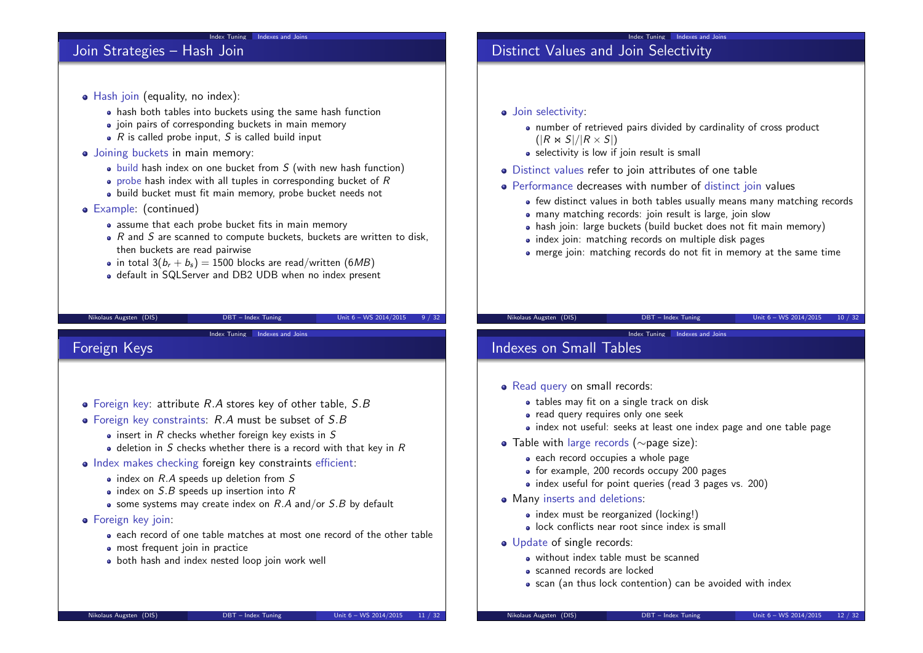## Join Strategies – Hash Join

- Hash join (equality, no index):
	- hash both tables into buckets using the same hash function

Index Tuning Indexes and Joins

- join pairs of corresponding buckets in main memory
- $\bullet$  R is called probe input, S is called build input
- Joining buckets in main memory:
	- $\bullet$  build hash index on one bucket from S (with new hash function)
	- $\bullet$  probe hash index with all tuples in corresponding bucket of  $R$
	- build bucket must fit main memory, probe bucket needs not
- Example: (continued)
	- assume that each probe bucket fits in main memory
	- $\bullet$  R and S are scanned to compute buckets, buckets are written to disk, then buckets are read pairwise
	- in total  $3(b_r + b_s) = 1500$  blocks are read/written (6MB)
	- default in SQLServer and DB2 UDB when no index present

### Nikolaus Augsten (DIS) DBT – Index Tuning Unit 6 – WS 2014/2015 9 / 32

Index Tuning Indexes and Joins

## Foreign Keys

- $\bullet$  Foreign key: attribute R.A stores key of other table, S.B
- $\bullet$  Foreign key constraints:  $R.A$  must be subset of  $S.B$ 
	- $\bullet$  insert in R checks whether foreign key exists in S
	- $\bullet$  deletion in S checks whether there is a record with that key in R
- Index makes checking foreign key constraints efficient:
	- $\bullet$  index on  $R.A$  speeds up deletion from S
	- $\bullet$  index on S.B speeds up insertion into R
	- some systems may create index on  $R.A$  and/or  $S.B$  by default
- **•** Foreign key join:
	- each record of one table matches at most one record of the other table
	- **•** most frequent join in practice
	- both hash and index nested loop join work well

# Distinct Values and Join Selectivity

- Join selectivity:
	- number of retrieved pairs divided by cardinality of cross product  $(|R \Join S|/|R \times S|)$

Index Tuning Indexes and Joins

- selectivity is low if join result is small
- Distinct values refer to join attributes of one table
- Performance decreases with number of distinct join values
	- few distinct values in both tables usually means many matching records
	- many matching records: join result is large, join slow
	- hash join: large buckets (build bucket does not fit main memory)
	- index join: matching records on multiple disk pages
	- merge join: matching records do not fit in memory at the same time

Index Tuning Indexes and Joins

### Nikolaus Augsten (DIS) DBT – Index Tuning Unit 6 – WS 2014/2015 10 / 32

## Indexes on Small Tables

- Read query on small records:
	- tables may fit on a single track on disk
	- read query requires only one seek
	- index not useful: seeks at least one index page and one table page
- Table with large records (∼page size):
	- each record occupies a whole page
	- for example, 200 records occupy 200 pages
	- index useful for point queries (read 3 pages vs. 200)
- Many inserts and deletions:
	- index must be reorganized (locking!)
	- lock conflicts near root since index is small
- o Update of single records:
	- without index table must be scanned
	- scanned records are locked
	- scan (an thus lock contention) can be avoided with index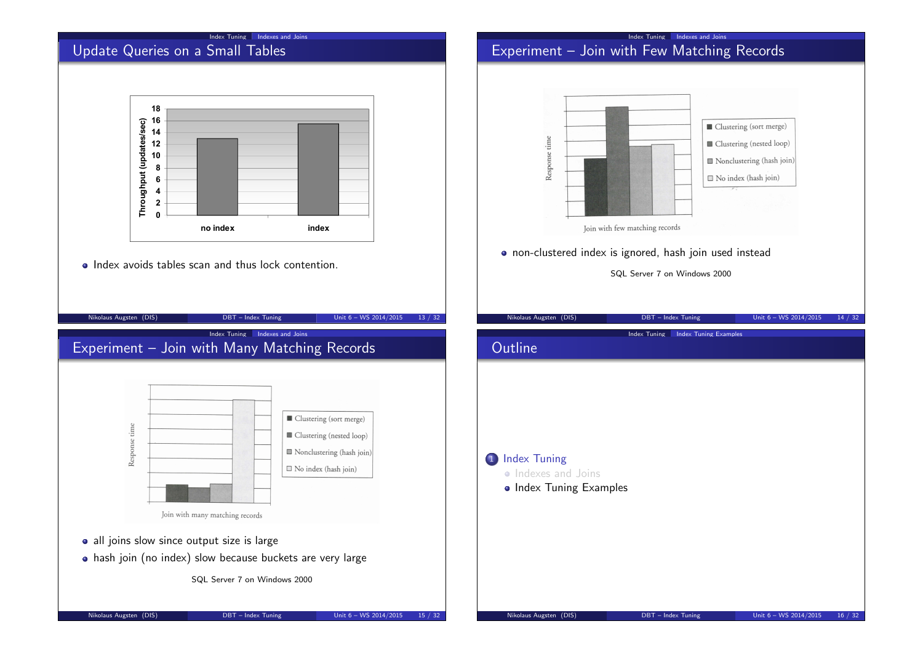### Index Tuning Indexes and Joins

# Update Queries on a Small Tables



• Index avoids tables scan and thus lock contention.

### Index Tuning Indexes and Joins Experiment – Join with Few Matching Records



SQL Server 7 on Windows 2000

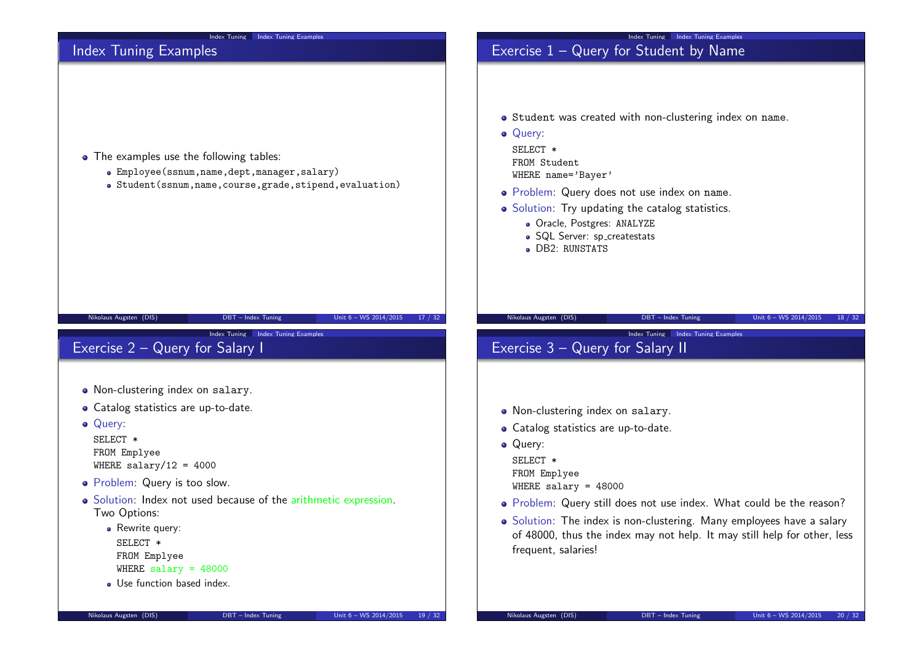| Index Tuning Index Tuning Examples                                                                                                                                                                                                                                                                                                                                                              |
|-------------------------------------------------------------------------------------------------------------------------------------------------------------------------------------------------------------------------------------------------------------------------------------------------------------------------------------------------------------------------------------------------|
| Exercise $1 -$ Query for Student by Name                                                                                                                                                                                                                                                                                                                                                        |
| • Student was created with non-clustering index on name.<br>• Query:<br>SELECT *<br>FROM Student<br>WHERE name='Bayer'<br>· Problem: Query does not use index on name.<br>• Solution: Try updating the catalog statistics.<br>· Oracle, Postgres: ANALYZE<br>· SQL Server: sp_createstats<br>• DB2: RUNSTATS                                                                                    |
| Nikolaus Augsten (DIS)<br>Unit 6 - WS 2014/2015<br>DBT - Index Tuning<br>18 / 32<br>Index Tuning Index Tuning Examples<br>Exercise 3 - Query for Salary II                                                                                                                                                                                                                                      |
| • Non-clustering index on salary.<br>• Catalog statistics are up-to-date.<br>• Query:<br>SELECT *<br>FROM Emplyee<br>WHERE salary = $48000$<br>• Problem: Query still does not use index. What could be the reason?<br>• Solution: The index is non-clustering. Many employees have a salary<br>of 48000, thus the index may not help. It may still help for other, less<br>frequent, salaries! |
|                                                                                                                                                                                                                                                                                                                                                                                                 |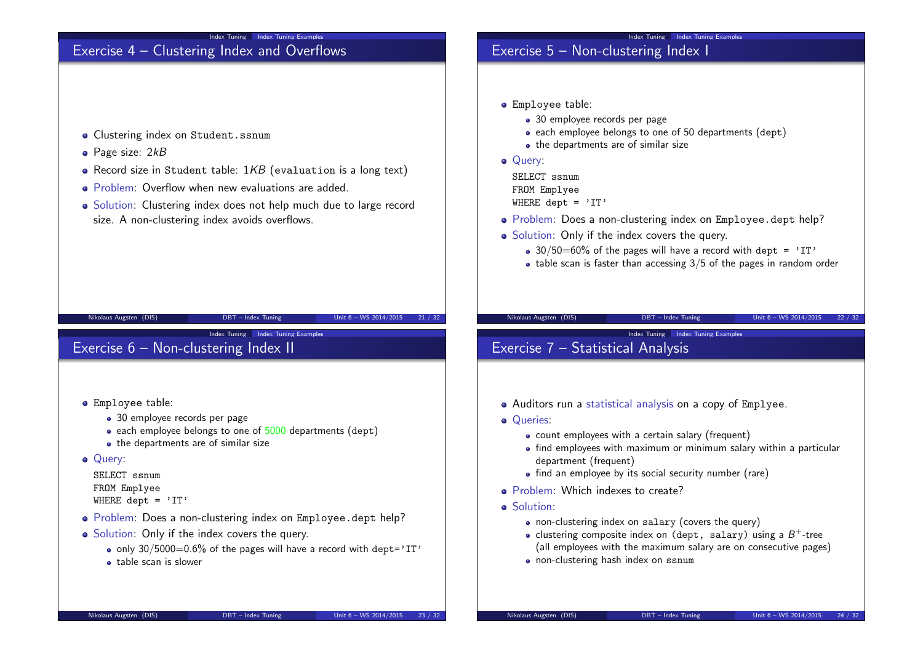

- Solution: Only if the index covers the query.
	- only  $30/5000=0.6\%$  of the pages will have a record with dept='IT'
	- table scan is slower

• each employee belongs to one of 50 departments (dept)

- Problem: Does a non-clustering index on Employee.dept help?
- Solution: Only if the index covers the query.
	- 30/50=60% of the pages will have a record with dept =  $'1T'$
	- $\bullet$  table scan is faster than accessing 3/5 of the pages in random order

- Auditors run a statistical analysis on a copy of Emplyee.
	- count employees with a certain salary (frequent)
	- find employees with maximum or minimum salary within a particular
	- find an employee by its social security number (rare)
	- non-clustering index on salary (covers the query)
	- clustering composite index on (dept, salary) using a  $B^+$ -tree (all employees with the maximum salary are on consecutive pages)
	- non-clustering hash index on ssnum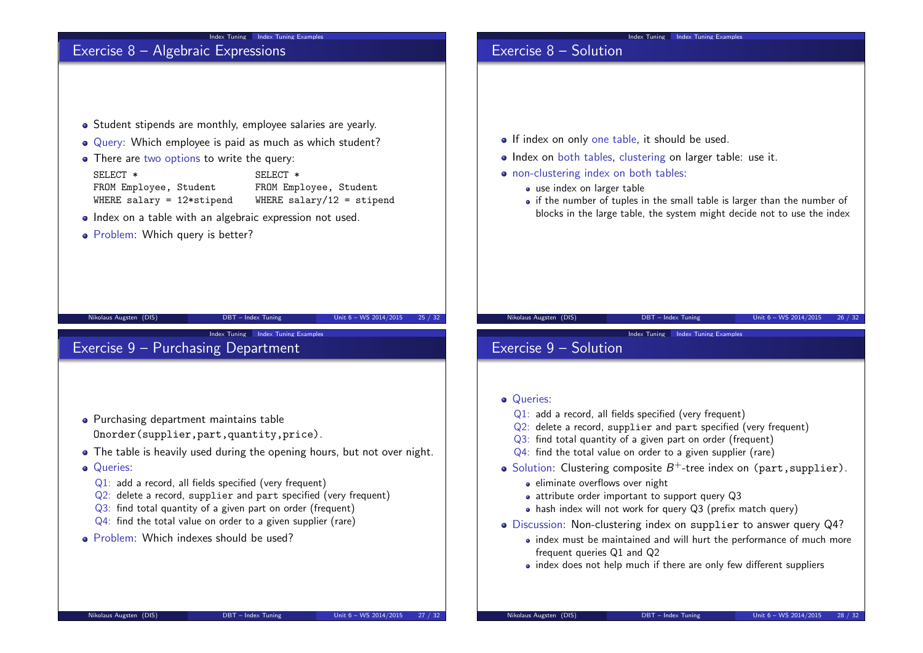